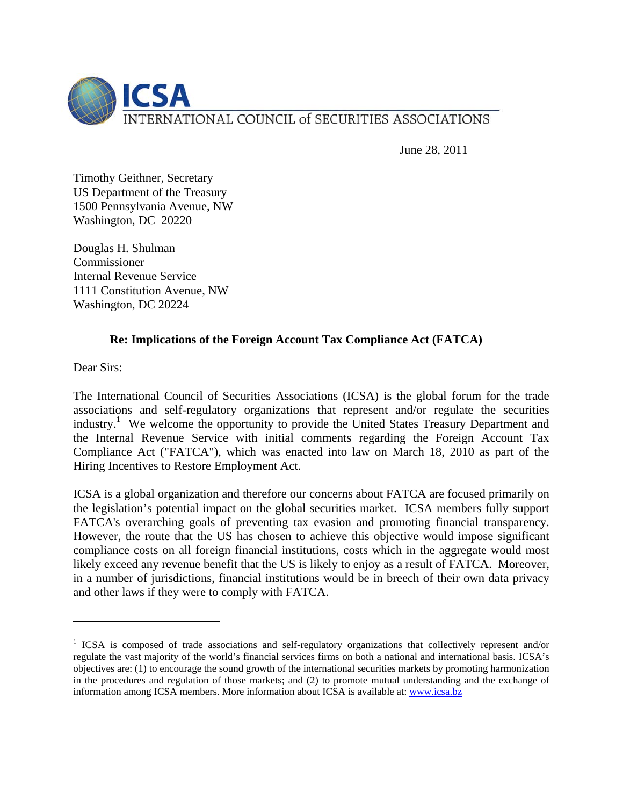

June 28, 2011

Timothy Geithner, Secretary US Department of the Treasury 1500 Pennsylvania Avenue, NW Washington, DC 20220

Douglas H. Shulman Commissioner Internal Revenue Service 1111 Constitution Avenue, NW Washington, DC 20224

## **Re: Implications of the Foreign Account Tax Compliance Act (FATCA)**

Dear Sirs:

 $\overline{a}$ 

The International Council of Securities Associations (ICSA) is the global forum for the trade associations and self-regulatory organizations that represent and/or regulate the securities industry.<sup>1</sup> We welcome the opportunity to provide the United States Treasury Department and the Internal Revenue Service with initial comments regarding the Foreign Account Tax Compliance Act ("FATCA"), which was enacted into law on March 18, 2010 as part of the Hiring Incentives to Restore Employment Act.

ICSA is a global organization and therefore our concerns about FATCA are focused primarily on the legislation's potential impact on the global securities market. ICSA members fully support FATCA's overarching goals of preventing tax evasion and promoting financial transparency. However, the route that the US has chosen to achieve this objective would impose significant compliance costs on all foreign financial institutions, costs which in the aggregate would most likely exceed any revenue benefit that the US is likely to enjoy as a result of FATCA. Moreover, in a number of jurisdictions, financial institutions would be in breech of their own data privacy and other laws if they were to comply with FATCA.

<sup>&</sup>lt;sup>1</sup> ICSA is composed of trade associations and self-regulatory organizations that collectively represent and/or regulate the vast majority of the world's financial services firms on both a national and international basis. ICSA's objectives are: (1) to encourage the sound growth of the international securities markets by promoting harmonization in the procedures and regulation of those markets; and (2) to promote mutual understanding and the exchange of information among ICSA members. More information about ICSA is available at: www.icsa.bz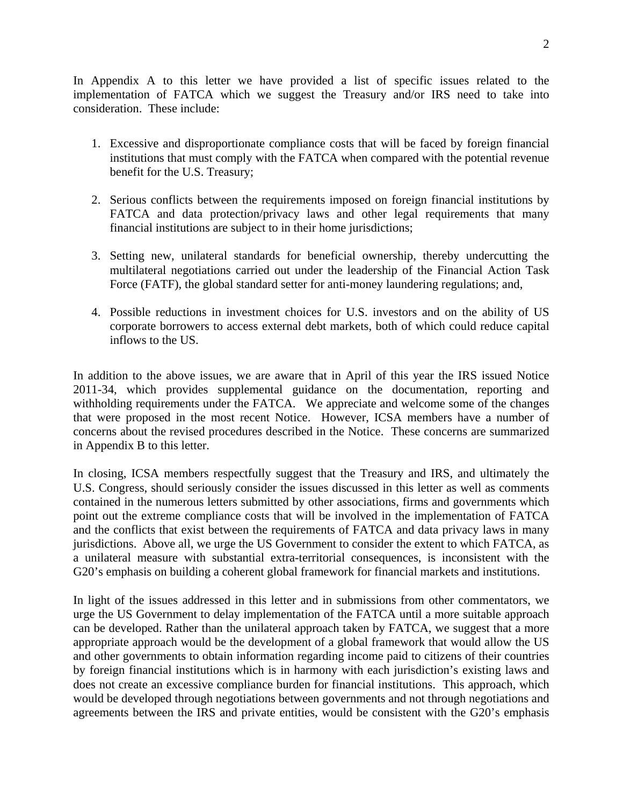In Appendix A to this letter we have provided a list of specific issues related to the implementation of FATCA which we suggest the Treasury and/or IRS need to take into consideration. These include:

- 1. Excessive and disproportionate compliance costs that will be faced by foreign financial institutions that must comply with the FATCA when compared with the potential revenue benefit for the U.S. Treasury;
- 2. Serious conflicts between the requirements imposed on foreign financial institutions by FATCA and data protection/privacy laws and other legal requirements that many financial institutions are subject to in their home jurisdictions;
- 3. Setting new, unilateral standards for beneficial ownership, thereby undercutting the multilateral negotiations carried out under the leadership of the Financial Action Task Force (FATF), the global standard setter for anti-money laundering regulations; and,
- 4. Possible reductions in investment choices for U.S. investors and on the ability of US corporate borrowers to access external debt markets, both of which could reduce capital inflows to the US.

In addition to the above issues, we are aware that in April of this year the IRS issued Notice 2011-34, which provides supplemental guidance on the documentation, reporting and withholding requirements under the FATCA. We appreciate and welcome some of the changes that were proposed in the most recent Notice. However, ICSA members have a number of concerns about the revised procedures described in the Notice. These concerns are summarized in Appendix B to this letter.

In closing, ICSA members respectfully suggest that the Treasury and IRS, and ultimately the U.S. Congress, should seriously consider the issues discussed in this letter as well as comments contained in the numerous letters submitted by other associations, firms and governments which point out the extreme compliance costs that will be involved in the implementation of FATCA and the conflicts that exist between the requirements of FATCA and data privacy laws in many jurisdictions. Above all, we urge the US Government to consider the extent to which FATCA, as a unilateral measure with substantial extra-territorial consequences, is inconsistent with the G20's emphasis on building a coherent global framework for financial markets and institutions.

In light of the issues addressed in this letter and in submissions from other commentators, we urge the US Government to delay implementation of the FATCA until a more suitable approach can be developed. Rather than the unilateral approach taken by FATCA, we suggest that a more appropriate approach would be the development of a global framework that would allow the US and other governments to obtain information regarding income paid to citizens of their countries by foreign financial institutions which is in harmony with each jurisdiction's existing laws and does not create an excessive compliance burden for financial institutions. This approach, which would be developed through negotiations between governments and not through negotiations and agreements between the IRS and private entities, would be consistent with the G20's emphasis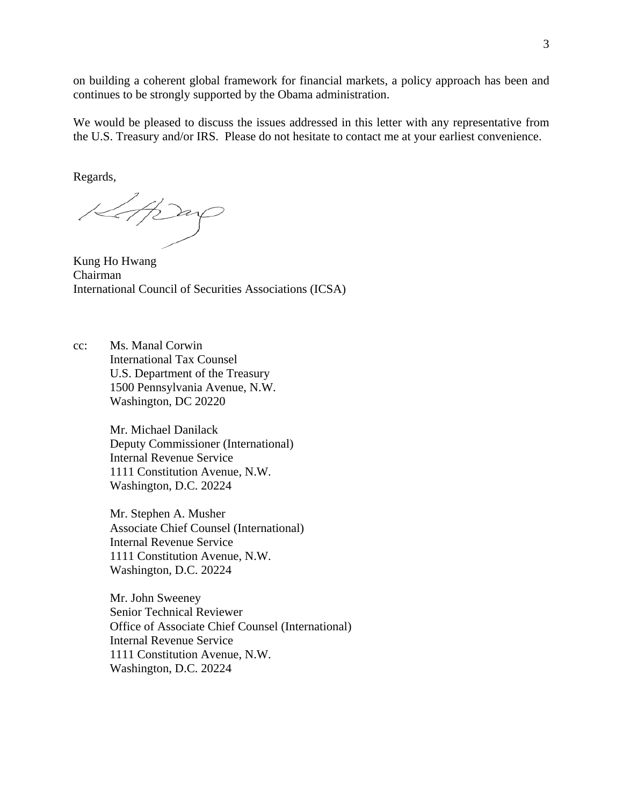on building a coherent global framework for financial markets, a policy approach has been and continues to be strongly supported by the Obama administration.

We would be pleased to discuss the issues addressed in this letter with any representative from the U.S. Treasury and/or IRS. Please do not hesitate to contact me at your earliest convenience.

Regards,

Strag

Kung Ho Hwang Chairman International Council of Securities Associations (ICSA)

cc: Ms. Manal Corwin International Tax Counsel U.S. Department of the Treasury 1500 Pennsylvania Avenue, N.W. Washington, DC 20220

> Mr. Michael Danilack Deputy Commissioner (International) Internal Revenue Service 1111 Constitution Avenue, N.W. Washington, D.C. 20224

Mr. Stephen A. Musher Associate Chief Counsel (International) Internal Revenue Service 1111 Constitution Avenue, N.W. Washington, D.C. 20224

Mr. John Sweeney Senior Technical Reviewer Office of Associate Chief Counsel (International) Internal Revenue Service 1111 Constitution Avenue, N.W. Washington, D.C. 20224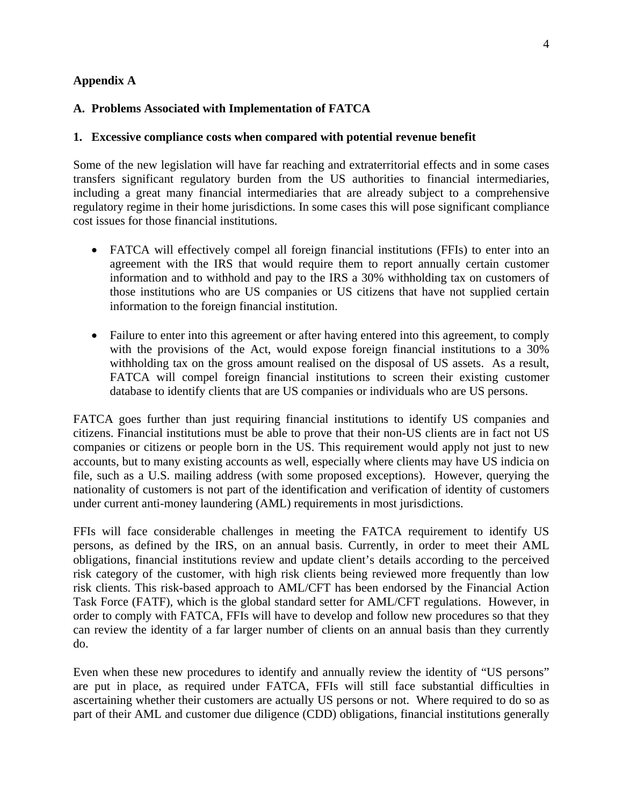## **Appendix A**

## **A. Problems Associated with Implementation of FATCA**

#### **1. Excessive compliance costs when compared with potential revenue benefit**

Some of the new legislation will have far reaching and extraterritorial effects and in some cases transfers significant regulatory burden from the US authorities to financial intermediaries, including a great many financial intermediaries that are already subject to a comprehensive regulatory regime in their home jurisdictions. In some cases this will pose significant compliance cost issues for those financial institutions.

- FATCA will effectively compel all foreign financial institutions (FFIs) to enter into an agreement with the IRS that would require them to report annually certain customer information and to withhold and pay to the IRS a 30% withholding tax on customers of those institutions who are US companies or US citizens that have not supplied certain information to the foreign financial institution.
- Failure to enter into this agreement or after having entered into this agreement, to comply with the provisions of the Act, would expose foreign financial institutions to a 30% withholding tax on the gross amount realised on the disposal of US assets. As a result, FATCA will compel foreign financial institutions to screen their existing customer database to identify clients that are US companies or individuals who are US persons.

FATCA goes further than just requiring financial institutions to identify US companies and citizens. Financial institutions must be able to prove that their non-US clients are in fact not US companies or citizens or people born in the US. This requirement would apply not just to new accounts, but to many existing accounts as well, especially where clients may have US indicia on file, such as a U.S. mailing address (with some proposed exceptions). However, querying the nationality of customers is not part of the identification and verification of identity of customers under current anti-money laundering (AML) requirements in most jurisdictions.

FFIs will face considerable challenges in meeting the FATCA requirement to identify US persons, as defined by the IRS, on an annual basis. Currently, in order to meet their AML obligations, financial institutions review and update client's details according to the perceived risk category of the customer, with high risk clients being reviewed more frequently than low risk clients. This risk-based approach to AML/CFT has been endorsed by the Financial Action Task Force (FATF), which is the global standard setter for AML/CFT regulations. However, in order to comply with FATCA, FFIs will have to develop and follow new procedures so that they can review the identity of a far larger number of clients on an annual basis than they currently do.

Even when these new procedures to identify and annually review the identity of "US persons" are put in place, as required under FATCA, FFIs will still face substantial difficulties in ascertaining whether their customers are actually US persons or not. Where required to do so as part of their AML and customer due diligence (CDD) obligations, financial institutions generally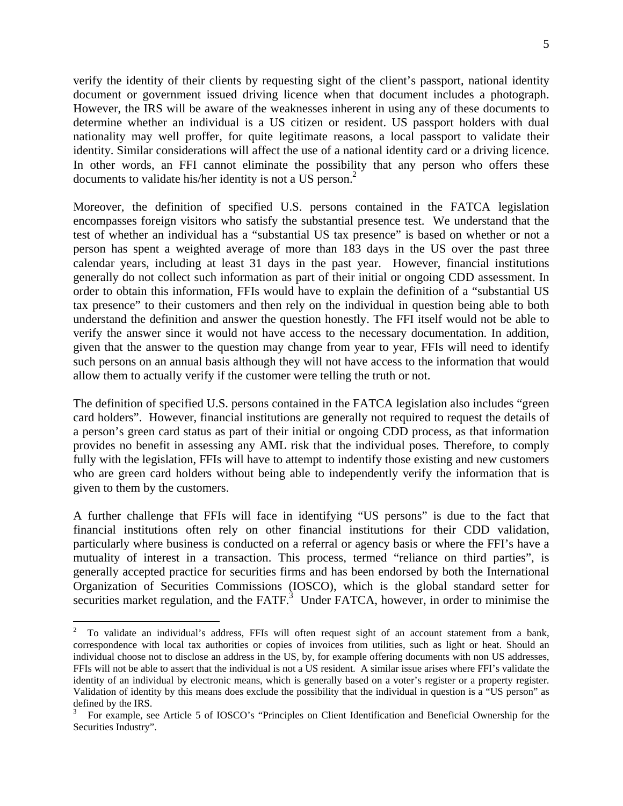verify the identity of their clients by requesting sight of the client's passport, national identity document or government issued driving licence when that document includes a photograph. However, the IRS will be aware of the weaknesses inherent in using any of these documents to determine whether an individual is a US citizen or resident. US passport holders with dual nationality may well proffer, for quite legitimate reasons, a local passport to validate their identity. Similar considerations will affect the use of a national identity card or a driving licence. In other words, an FFI cannot eliminate the possibility that any person who offers these documents to validate his/her identity is not a US person.<sup>2</sup>

Moreover, the definition of specified U.S. persons contained in the FATCA legislation encompasses foreign visitors who satisfy the substantial presence test. We understand that the test of whether an individual has a "substantial US tax presence" is based on whether or not a person has spent a weighted average of more than 183 days in the US over the past three calendar years, including at least 31 days in the past year. However, financial institutions generally do not collect such information as part of their initial or ongoing CDD assessment. In order to obtain this information, FFIs would have to explain the definition of a "substantial US tax presence" to their customers and then rely on the individual in question being able to both understand the definition and answer the question honestly. The FFI itself would not be able to verify the answer since it would not have access to the necessary documentation. In addition, given that the answer to the question may change from year to year, FFIs will need to identify such persons on an annual basis although they will not have access to the information that would allow them to actually verify if the customer were telling the truth or not.

The definition of specified U.S. persons contained in the FATCA legislation also includes "green card holders". However, financial institutions are generally not required to request the details of a person's green card status as part of their initial or ongoing CDD process, as that information provides no benefit in assessing any AML risk that the individual poses. Therefore, to comply fully with the legislation, FFIs will have to attempt to indentify those existing and new customers who are green card holders without being able to independently verify the information that is given to them by the customers.

A further challenge that FFIs will face in identifying "US persons" is due to the fact that financial institutions often rely on other financial institutions for their CDD validation, particularly where business is conducted on a referral or agency basis or where the FFI's have a mutuality of interest in a transaction. This process, termed "reliance on third parties", is generally accepted practice for securities firms and has been endorsed by both the International Organization of Securities Commissions (IOSCO), which is the global standard setter for securities market regulation, and the FATF. $3$  Under FATCA, however, in order to minimise the

 $\overline{a}$ 

<sup>2</sup> To validate an individual's address, FFIs will often request sight of an account statement from a bank, correspondence with local tax authorities or copies of invoices from utilities, such as light or heat. Should an individual choose not to disclose an address in the US, by, for example offering documents with non US addresses, FFIs will not be able to assert that the individual is not a US resident. A similar issue arises where FFI's validate the identity of an individual by electronic means, which is generally based on a voter's register or a property register. Validation of identity by this means does exclude the possibility that the individual in question is a "US person" as defined by the IRS.

<sup>3</sup> For example, see Article 5 of IOSCO's "Principles on Client Identification and Beneficial Ownership for the Securities Industry".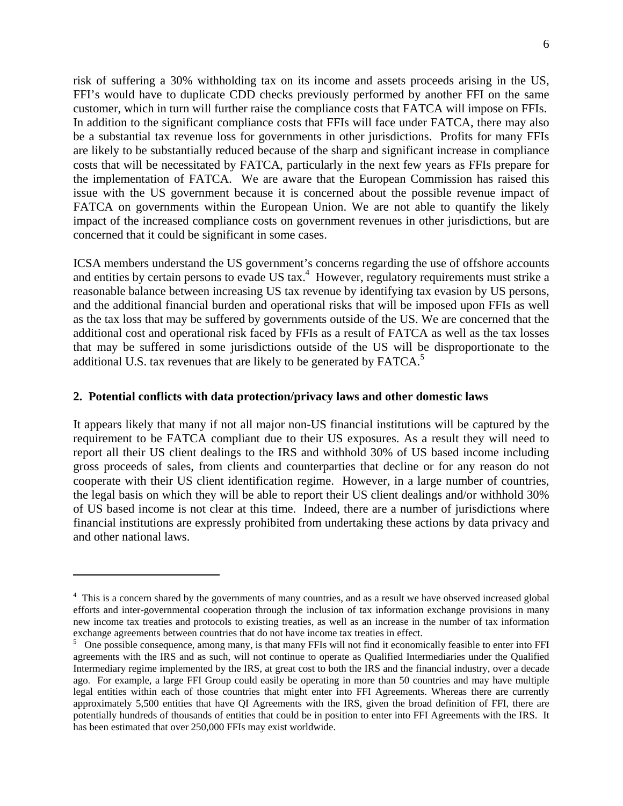risk of suffering a 30% withholding tax on its income and assets proceeds arising in the US, FFI's would have to duplicate CDD checks previously performed by another FFI on the same customer, which in turn will further raise the compliance costs that FATCA will impose on FFIs. In addition to the significant compliance costs that FFIs will face under FATCA, there may also be a substantial tax revenue loss for governments in other jurisdictions. Profits for many FFIs are likely to be substantially reduced because of the sharp and significant increase in compliance costs that will be necessitated by FATCA, particularly in the next few years as FFIs prepare for the implementation of FATCA. We are aware that the European Commission has raised this issue with the US government because it is concerned about the possible revenue impact of FATCA on governments within the European Union. We are not able to quantify the likely impact of the increased compliance costs on government revenues in other jurisdictions, but are concerned that it could be significant in some cases.

ICSA members understand the US government's concerns regarding the use of offshore accounts and entities by certain persons to evade US  $\text{tax.}^4$  However, regulatory requirements must strike a reasonable balance between increasing US tax revenue by identifying tax evasion by US persons, and the additional financial burden and operational risks that will be imposed upon FFIs as well as the tax loss that may be suffered by governments outside of the US. We are concerned that the additional cost and operational risk faced by FFIs as a result of FATCA as well as the tax losses that may be suffered in some jurisdictions outside of the US will be disproportionate to the additional U.S. tax revenues that are likely to be generated by FATCA.<sup>5</sup>

#### **2. Potential conflicts with data protection/privacy laws and other domestic laws**

1

It appears likely that many if not all major non-US financial institutions will be captured by the requirement to be FATCA compliant due to their US exposures. As a result they will need to report all their US client dealings to the IRS and withhold 30% of US based income including gross proceeds of sales, from clients and counterparties that decline or for any reason do not cooperate with their US client identification regime. However, in a large number of countries, the legal basis on which they will be able to report their US client dealings and/or withhold 30% of US based income is not clear at this time. Indeed, there are a number of jurisdictions where financial institutions are expressly prohibited from undertaking these actions by data privacy and and other national laws.

<sup>&</sup>lt;sup>4</sup> This is a concern shared by the governments of many countries, and as a result we have observed increased global efforts and inter-governmental cooperation through the inclusion of tax information exchange provisions in many new income tax treaties and protocols to existing treaties, as well as an increase in the number of tax information exchange agreements between countries that do not have income tax treaties in effect.

One possible consequence, among many, is that many FFIs will not find it economically feasible to enter into FFI agreements with the IRS and as such, will not continue to operate as Qualified Intermediaries under the Qualified Intermediary regime implemented by the IRS, at great cost to both the IRS and the financial industry, over a decade ago. For example, a large FFI Group could easily be operating in more than 50 countries and may have multiple legal entities within each of those countries that might enter into FFI Agreements. Whereas there are currently approximately 5,500 entities that have QI Agreements with the IRS, given the broad definition of FFI, there are potentially hundreds of thousands of entities that could be in position to enter into FFI Agreements with the IRS. It has been estimated that over 250,000 FFIs may exist worldwide.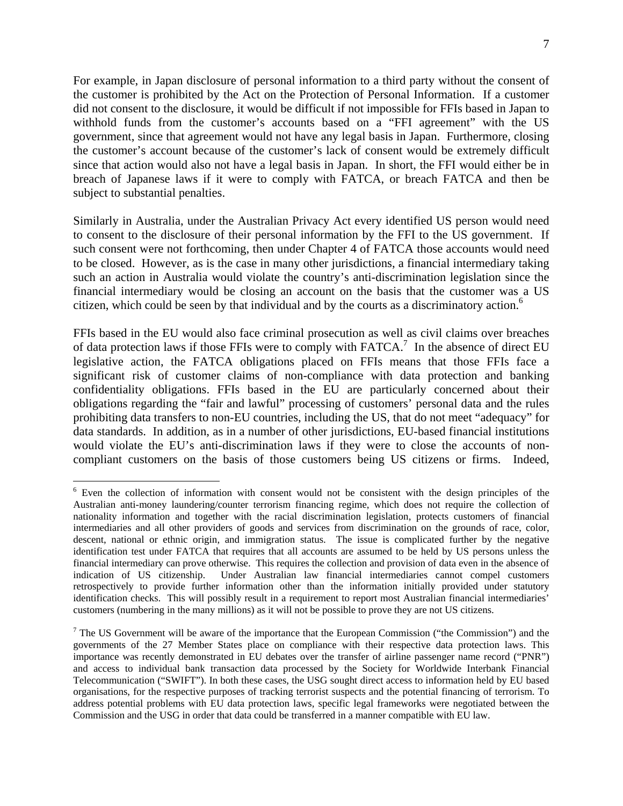For example, in Japan disclosure of personal information to a third party without the consent of the customer is prohibited by the Act on the Protection of Personal Information. If a customer did not consent to the disclosure, it would be difficult if not impossible for FFIs based in Japan to withhold funds from the customer's accounts based on a "FFI agreement" with the US government, since that agreement would not have any legal basis in Japan. Furthermore, closing the customer's account because of the customer's lack of consent would be extremely difficult since that action would also not have a legal basis in Japan. In short, the FFI would either be in breach of Japanese laws if it were to comply with FATCA, or breach FATCA and then be subject to substantial penalties.

Similarly in Australia, under the Australian Privacy Act every identified US person would need to consent to the disclosure of their personal information by the FFI to the US government. If such consent were not forthcoming, then under Chapter 4 of FATCA those accounts would need to be closed. However, as is the case in many other jurisdictions, a financial intermediary taking such an action in Australia would violate the country's anti-discrimination legislation since the financial intermediary would be closing an account on the basis that the customer was a US citizen, which could be seen by that individual and by the courts as a discriminatory action.6

FFIs based in the EU would also face criminal prosecution as well as civil claims over breaches of data protection laws if those FFIs were to comply with FATCA.<sup>7</sup> In the absence of direct EU legislative action, the FATCA obligations placed on FFIs means that those FFIs face a significant risk of customer claims of non-compliance with data protection and banking confidentiality obligations. FFIs based in the EU are particularly concerned about their obligations regarding the "fair and lawful" processing of customers' personal data and the rules prohibiting data transfers to non-EU countries, including the US, that do not meet "adequacy" for data standards. In addition, as in a number of other jurisdictions, EU-based financial institutions would violate the EU's anti-discrimination laws if they were to close the accounts of noncompliant customers on the basis of those customers being US citizens or firms. Indeed,

 $\overline{a}$ 

<sup>&</sup>lt;sup>6</sup> Even the collection of information with consent would not be consistent with the design principles of the Australian anti-money laundering/counter terrorism financing regime, which does not require the collection of nationality information and together with the racial discrimination legislation, protects customers of financial intermediaries and all other providers of goods and services from discrimination on the grounds of race, color, descent, national or ethnic origin, and immigration status. The issue is complicated further by the negative identification test under FATCA that requires that all accounts are assumed to be held by US persons unless the financial intermediary can prove otherwise. This requires the collection and provision of data even in the absence of indication of US citizenship. Under Australian law financial intermediaries cannot compel customers retrospectively to provide further information other than the information initially provided under statutory identification checks. This will possibly result in a requirement to report most Australian financial intermediaries' customers (numbering in the many millions) as it will not be possible to prove they are not US citizens.

<sup>&</sup>lt;sup>7</sup> The US Government will be aware of the importance that the European Commission ("the Commission") and the governments of the 27 Member States place on compliance with their respective data protection laws. This importance was recently demonstrated in EU debates over the transfer of airline passenger name record ("PNR") and access to individual bank transaction data processed by the Society for Worldwide Interbank Financial Telecommunication ("SWIFT"). In both these cases, the USG sought direct access to information held by EU based organisations, for the respective purposes of tracking terrorist suspects and the potential financing of terrorism. To address potential problems with EU data protection laws, specific legal frameworks were negotiated between the Commission and the USG in order that data could be transferred in a manner compatible with EU law.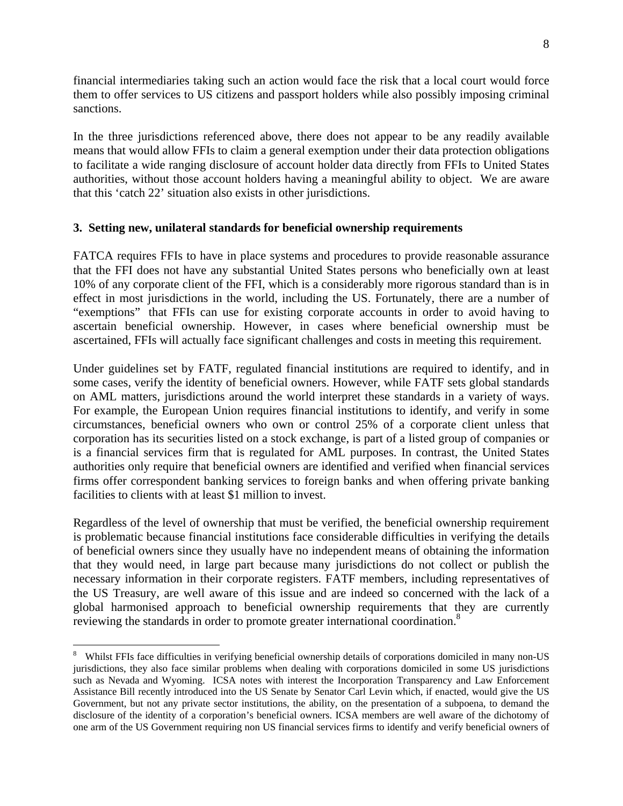financial intermediaries taking such an action would face the risk that a local court would force them to offer services to US citizens and passport holders while also possibly imposing criminal sanctions.

In the three jurisdictions referenced above, there does not appear to be any readily available means that would allow FFIs to claim a general exemption under their data protection obligations to facilitate a wide ranging disclosure of account holder data directly from FFIs to United States authorities, without those account holders having a meaningful ability to object. We are aware that this 'catch 22' situation also exists in other jurisdictions.

#### **3. Setting new, unilateral standards for beneficial ownership requirements**

FATCA requires FFIs to have in place systems and procedures to provide reasonable assurance that the FFI does not have any substantial United States persons who beneficially own at least 10% of any corporate client of the FFI, which is a considerably more rigorous standard than is in effect in most jurisdictions in the world, including the US. Fortunately, there are a number of "exemptions" that FFIs can use for existing corporate accounts in order to avoid having to ascertain beneficial ownership. However, in cases where beneficial ownership must be ascertained, FFIs will actually face significant challenges and costs in meeting this requirement.

Under guidelines set by FATF, regulated financial institutions are required to identify, and in some cases, verify the identity of beneficial owners. However, while FATF sets global standards on AML matters, jurisdictions around the world interpret these standards in a variety of ways. For example, the European Union requires financial institutions to identify, and verify in some circumstances, beneficial owners who own or control 25% of a corporate client unless that corporation has its securities listed on a stock exchange, is part of a listed group of companies or is a financial services firm that is regulated for AML purposes. In contrast, the United States authorities only require that beneficial owners are identified and verified when financial services firms offer correspondent banking services to foreign banks and when offering private banking facilities to clients with at least \$1 million to invest.

Regardless of the level of ownership that must be verified, the beneficial ownership requirement is problematic because financial institutions face considerable difficulties in verifying the details of beneficial owners since they usually have no independent means of obtaining the information that they would need, in large part because many jurisdictions do not collect or publish the necessary information in their corporate registers. FATF members, including representatives of the US Treasury, are well aware of this issue and are indeed so concerned with the lack of a global harmonised approach to beneficial ownership requirements that they are currently reviewing the standards in order to promote greater international coordination.<sup>8</sup>

<u>.</u>

<sup>8</sup> Whilst FFIs face difficulties in verifying beneficial ownership details of corporations domiciled in many non-US jurisdictions, they also face similar problems when dealing with corporations domiciled in some US jurisdictions such as Nevada and Wyoming. ICSA notes with interest the Incorporation Transparency and Law Enforcement Assistance Bill recently introduced into the US Senate by Senator Carl Levin which, if enacted, would give the US Government, but not any private sector institutions, the ability, on the presentation of a subpoena, to demand the disclosure of the identity of a corporation's beneficial owners. ICSA members are well aware of the dichotomy of one arm of the US Government requiring non US financial services firms to identify and verify beneficial owners of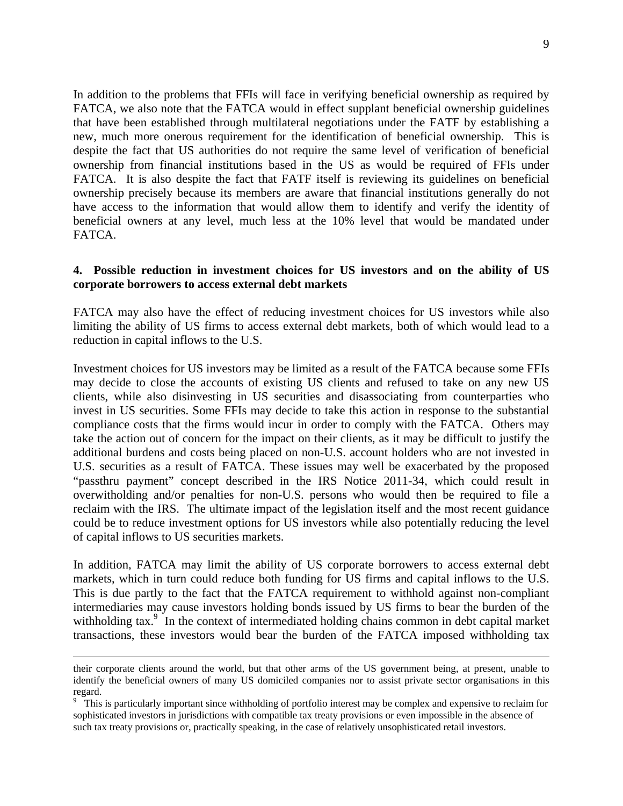In addition to the problems that FFIs will face in verifying beneficial ownership as required by FATCA, we also note that the FATCA would in effect supplant beneficial ownership guidelines that have been established through multilateral negotiations under the FATF by establishing a new, much more onerous requirement for the identification of beneficial ownership. This is despite the fact that US authorities do not require the same level of verification of beneficial ownership from financial institutions based in the US as would be required of FFIs under FATCA. It is also despite the fact that FATF itself is reviewing its guidelines on beneficial ownership precisely because its members are aware that financial institutions generally do not have access to the information that would allow them to identify and verify the identity of beneficial owners at any level, much less at the 10% level that would be mandated under FATCA.

#### **4. Possible reduction in investment choices for US investors and on the ability of US corporate borrowers to access external debt markets**

FATCA may also have the effect of reducing investment choices for US investors while also limiting the ability of US firms to access external debt markets, both of which would lead to a reduction in capital inflows to the U.S.

Investment choices for US investors may be limited as a result of the FATCA because some FFIs may decide to close the accounts of existing US clients and refused to take on any new US clients, while also disinvesting in US securities and disassociating from counterparties who invest in US securities. Some FFIs may decide to take this action in response to the substantial compliance costs that the firms would incur in order to comply with the FATCA. Others may take the action out of concern for the impact on their clients, as it may be difficult to justify the additional burdens and costs being placed on non-U.S. account holders who are not invested in U.S. securities as a result of FATCA. These issues may well be exacerbated by the proposed "passthru payment" concept described in the IRS Notice 2011-34, which could result in overwitholding and/or penalties for non-U.S. persons who would then be required to file a reclaim with the IRS. The ultimate impact of the legislation itself and the most recent guidance could be to reduce investment options for US investors while also potentially reducing the level of capital inflows to US securities markets.

In addition, FATCA may limit the ability of US corporate borrowers to access external debt markets, which in turn could reduce both funding for US firms and capital inflows to the U.S. This is due partly to the fact that the FATCA requirement to withhold against non-compliant intermediaries may cause investors holding bonds issued by US firms to bear the burden of the withholding tax.<sup>9</sup> In the context of intermediated holding chains common in debt capital market transactions, these investors would bear the burden of the FATCA imposed withholding tax

their corporate clients around the world, but that other arms of the US government being, at present, unable to identify the beneficial owners of many US domiciled companies nor to assist private sector organisations in this regard.

<sup>&</sup>lt;sup>9</sup> This is particularly important since withholding of portfolio interest may be complex and expensive to reclaim for sophisticated investors in jurisdictions with compatible tax treaty provisions or even impossible in the absence of such tax treaty provisions or, practically speaking, in the case of relatively unsophisticated retail investors.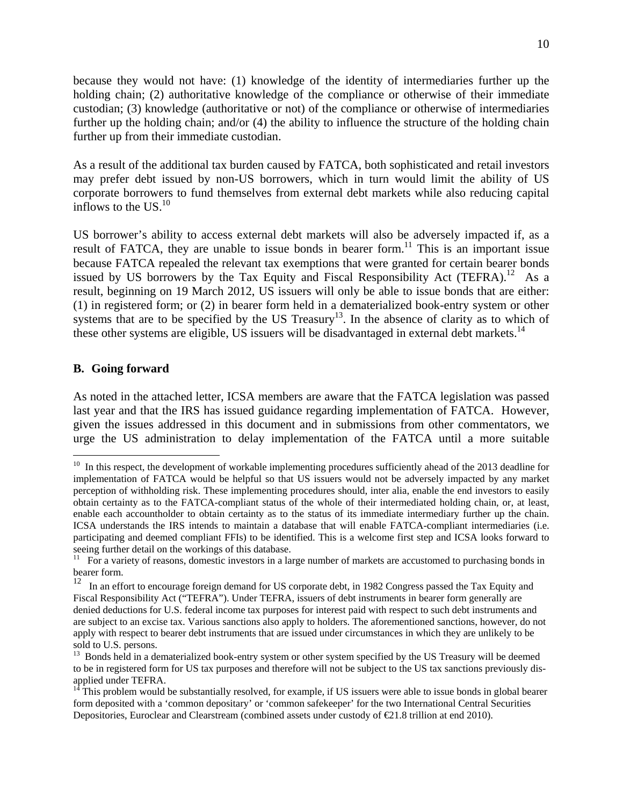because they would not have: (1) knowledge of the identity of intermediaries further up the holding chain; (2) authoritative knowledge of the compliance or otherwise of their immediate custodian; (3) knowledge (authoritative or not) of the compliance or otherwise of intermediaries further up the holding chain; and/or (4) the ability to influence the structure of the holding chain further up from their immediate custodian.

As a result of the additional tax burden caused by FATCA, both sophisticated and retail investors may prefer debt issued by non-US borrowers, which in turn would limit the ability of US corporate borrowers to fund themselves from external debt markets while also reducing capital inflows to the US. $^{10}$ 

US borrower's ability to access external debt markets will also be adversely impacted if, as a result of FATCA, they are unable to issue bonds in bearer form.<sup>11</sup> This is an important issue because FATCA repealed the relevant tax exemptions that were granted for certain bearer bonds issued by US borrowers by the Tax Equity and Fiscal Responsibility Act (TEFRA).<sup>12</sup> As a result, beginning on 19 March 2012, US issuers will only be able to issue bonds that are either: (1) in registered form; or (2) in bearer form held in a dematerialized book-entry system or other systems that are to be specified by the US Treasury<sup>13</sup>. In the absence of clarity as to which of these other systems are eligible, US issuers will be disadvantaged in external debt markets.<sup>14</sup>

#### **B. Going forward**

1

As noted in the attached letter, ICSA members are aware that the FATCA legislation was passed last year and that the IRS has issued guidance regarding implementation of FATCA. However, given the issues addressed in this document and in submissions from other commentators, we urge the US administration to delay implementation of the FATCA until a more suitable

<sup>&</sup>lt;sup>10</sup> In this respect, the development of workable implementing procedures sufficiently ahead of the 2013 deadline for implementation of FATCA would be helpful so that US issuers would not be adversely impacted by any market perception of withholding risk. These implementing procedures should, inter alia, enable the end investors to easily obtain certainty as to the FATCA-compliant status of the whole of their intermediated holding chain, or, at least, enable each accountholder to obtain certainty as to the status of its immediate intermediary further up the chain. ICSA understands the IRS intends to maintain a database that will enable FATCA-compliant intermediaries (i.e. participating and deemed compliant FFIs) to be identified. This is a welcome first step and ICSA looks forward to seeing further detail on the workings of this database.

 $11$  For a variety of reasons, domestic investors in a large number of markets are accustomed to purchasing bonds in bearer form.

<sup>&</sup>lt;sup>12</sup> In an effort to encourage foreign demand for US corporate debt, in 1982 Congress passed the Tax Equity and Fiscal Responsibility Act ("TEFRA"). Under TEFRA, issuers of debt instruments in bearer form generally are denied deductions for U.S. federal income tax purposes for interest paid with respect to such debt instruments and are subject to an excise tax. Various sanctions also apply to holders. The aforementioned sanctions, however, do not apply with respect to bearer debt instruments that are issued under circumstances in which they are unlikely to be sold to U.S. persons.

<sup>&</sup>lt;sup>13</sup> Bonds held in a dematerialized book-entry system or other system specified by the US Treasury will be deemed to be in registered form for US tax purposes and therefore will not be subject to the US tax sanctions previously disapplied under TEFRA.

 $14$ <sup>14</sup> This problem would be substantially resolved, for example, if US issuers were able to issue bonds in global bearer form deposited with a 'common depositary' or 'common safekeeper' for the two International Central Securities Depositories, Euroclear and Clearstream (combined assets under custody of  $\epsilon 21.8$  trillion at end 2010).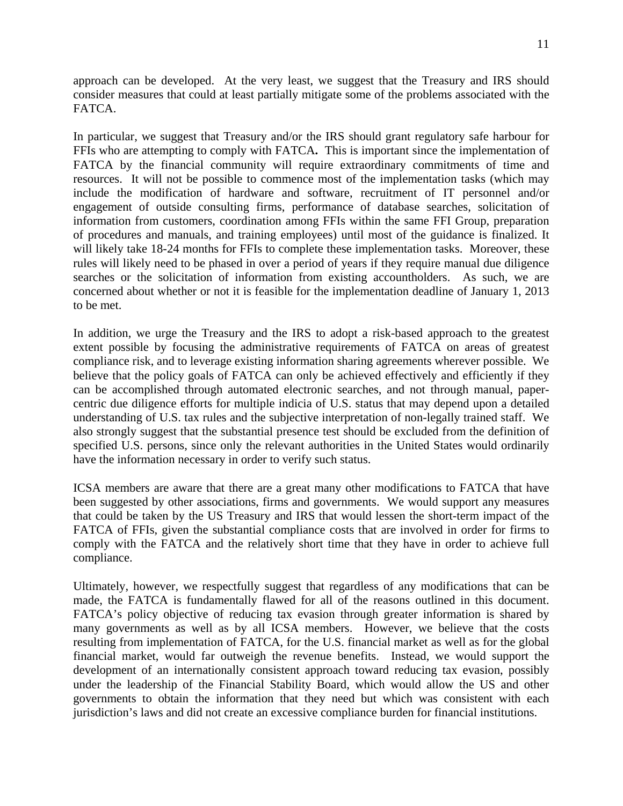approach can be developed. At the very least, we suggest that the Treasury and IRS should consider measures that could at least partially mitigate some of the problems associated with the FATCA.

In particular, we suggest that Treasury and/or the IRS should grant regulatory safe harbour for FFIs who are attempting to comply with FATCA**.** This is important since the implementation of FATCA by the financial community will require extraordinary commitments of time and resources. It will not be possible to commence most of the implementation tasks (which may include the modification of hardware and software, recruitment of IT personnel and/or engagement of outside consulting firms, performance of database searches, solicitation of information from customers, coordination among FFIs within the same FFI Group, preparation of procedures and manuals, and training employees) until most of the guidance is finalized. It will likely take 18-24 months for FFIs to complete these implementation tasks. Moreover, these rules will likely need to be phased in over a period of years if they require manual due diligence searches or the solicitation of information from existing accountholders. As such, we are concerned about whether or not it is feasible for the implementation deadline of January 1, 2013 to be met.

In addition, we urge the Treasury and the IRS to adopt a risk-based approach to the greatest extent possible by focusing the administrative requirements of FATCA on areas of greatest compliance risk, and to leverage existing information sharing agreements wherever possible. We believe that the policy goals of FATCA can only be achieved effectively and efficiently if they can be accomplished through automated electronic searches, and not through manual, papercentric due diligence efforts for multiple indicia of U.S. status that may depend upon a detailed understanding of U.S. tax rules and the subjective interpretation of non-legally trained staff. We also strongly suggest that the substantial presence test should be excluded from the definition of specified U.S. persons, since only the relevant authorities in the United States would ordinarily have the information necessary in order to verify such status.

ICSA members are aware that there are a great many other modifications to FATCA that have been suggested by other associations, firms and governments. We would support any measures that could be taken by the US Treasury and IRS that would lessen the short-term impact of the FATCA of FFIs, given the substantial compliance costs that are involved in order for firms to comply with the FATCA and the relatively short time that they have in order to achieve full compliance.

Ultimately, however, we respectfully suggest that regardless of any modifications that can be made, the FATCA is fundamentally flawed for all of the reasons outlined in this document. FATCA's policy objective of reducing tax evasion through greater information is shared by many governments as well as by all ICSA members. However, we believe that the costs resulting from implementation of FATCA, for the U.S. financial market as well as for the global financial market, would far outweigh the revenue benefits. Instead, we would support the development of an internationally consistent approach toward reducing tax evasion, possibly under the leadership of the Financial Stability Board, which would allow the US and other governments to obtain the information that they need but which was consistent with each jurisdiction's laws and did not create an excessive compliance burden for financial institutions.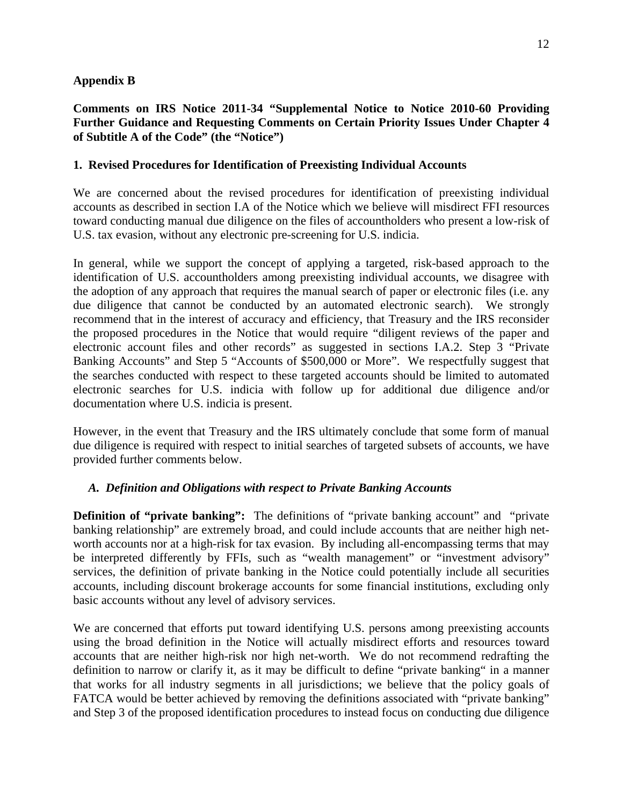## **Appendix B**

## **Comments on IRS Notice 2011-34 "Supplemental Notice to Notice 2010-60 Providing Further Guidance and Requesting Comments on Certain Priority Issues Under Chapter 4 of Subtitle A of the Code" (the "Notice")**

## **1. Revised Procedures for Identification of Preexisting Individual Accounts**

We are concerned about the revised procedures for identification of preexisting individual accounts as described in section I.A of the Notice which we believe will misdirect FFI resources toward conducting manual due diligence on the files of accountholders who present a low-risk of U.S. tax evasion, without any electronic pre-screening for U.S. indicia.

In general, while we support the concept of applying a targeted, risk-based approach to the identification of U.S. accountholders among preexisting individual accounts, we disagree with the adoption of any approach that requires the manual search of paper or electronic files (i.e. any due diligence that cannot be conducted by an automated electronic search). We strongly recommend that in the interest of accuracy and efficiency, that Treasury and the IRS reconsider the proposed procedures in the Notice that would require "diligent reviews of the paper and electronic account files and other records" as suggested in sections I.A.2. Step 3 "Private Banking Accounts" and Step 5 "Accounts of \$500,000 or More". We respectfully suggest that the searches conducted with respect to these targeted accounts should be limited to automated electronic searches for U.S. indicia with follow up for additional due diligence and/or documentation where U.S. indicia is present.

However, in the event that Treasury and the IRS ultimately conclude that some form of manual due diligence is required with respect to initial searches of targeted subsets of accounts, we have provided further comments below.

# *A. Definition and Obligations with respect to Private Banking Accounts*

**Definition of "private banking":** The definitions of "private banking account" and "private banking relationship" are extremely broad, and could include accounts that are neither high networth accounts nor at a high-risk for tax evasion. By including all-encompassing terms that may be interpreted differently by FFIs, such as "wealth management" or "investment advisory" services, the definition of private banking in the Notice could potentially include all securities accounts, including discount brokerage accounts for some financial institutions, excluding only basic accounts without any level of advisory services.

We are concerned that efforts put toward identifying U.S. persons among preexisting accounts using the broad definition in the Notice will actually misdirect efforts and resources toward accounts that are neither high-risk nor high net-worth. We do not recommend redrafting the definition to narrow or clarify it, as it may be difficult to define "private banking" in a manner that works for all industry segments in all jurisdictions; we believe that the policy goals of FATCA would be better achieved by removing the definitions associated with "private banking" and Step 3 of the proposed identification procedures to instead focus on conducting due diligence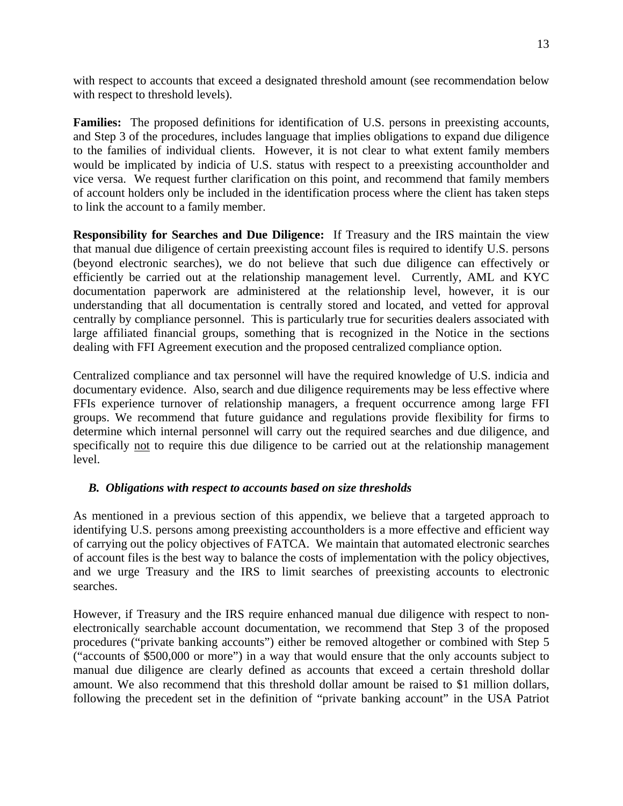with respect to accounts that exceed a designated threshold amount (see recommendation below with respect to threshold levels).

**Families:** The proposed definitions for identification of U.S. persons in preexisting accounts, and Step 3 of the procedures, includes language that implies obligations to expand due diligence to the families of individual clients. However, it is not clear to what extent family members would be implicated by indicia of U.S. status with respect to a preexisting accountholder and vice versa. We request further clarification on this point, and recommend that family members of account holders only be included in the identification process where the client has taken steps to link the account to a family member.

**Responsibility for Searches and Due Diligence:** If Treasury and the IRS maintain the view that manual due diligence of certain preexisting account files is required to identify U.S. persons (beyond electronic searches), we do not believe that such due diligence can effectively or efficiently be carried out at the relationship management level. Currently, AML and KYC documentation paperwork are administered at the relationship level, however, it is our understanding that all documentation is centrally stored and located, and vetted for approval centrally by compliance personnel. This is particularly true for securities dealers associated with large affiliated financial groups, something that is recognized in the Notice in the sections dealing with FFI Agreement execution and the proposed centralized compliance option.

Centralized compliance and tax personnel will have the required knowledge of U.S. indicia and documentary evidence. Also, search and due diligence requirements may be less effective where FFIs experience turnover of relationship managers, a frequent occurrence among large FFI groups. We recommend that future guidance and regulations provide flexibility for firms to determine which internal personnel will carry out the required searches and due diligence, and specifically not to require this due diligence to be carried out at the relationship management level.

# *B. Obligations with respect to accounts based on size thresholds*

As mentioned in a previous section of this appendix, we believe that a targeted approach to identifying U.S. persons among preexisting accountholders is a more effective and efficient way of carrying out the policy objectives of FATCA. We maintain that automated electronic searches of account files is the best way to balance the costs of implementation with the policy objectives, and we urge Treasury and the IRS to limit searches of preexisting accounts to electronic searches.

However, if Treasury and the IRS require enhanced manual due diligence with respect to nonelectronically searchable account documentation, we recommend that Step 3 of the proposed procedures ("private banking accounts") either be removed altogether or combined with Step 5 ("accounts of \$500,000 or more") in a way that would ensure that the only accounts subject to manual due diligence are clearly defined as accounts that exceed a certain threshold dollar amount. We also recommend that this threshold dollar amount be raised to \$1 million dollars, following the precedent set in the definition of "private banking account" in the USA Patriot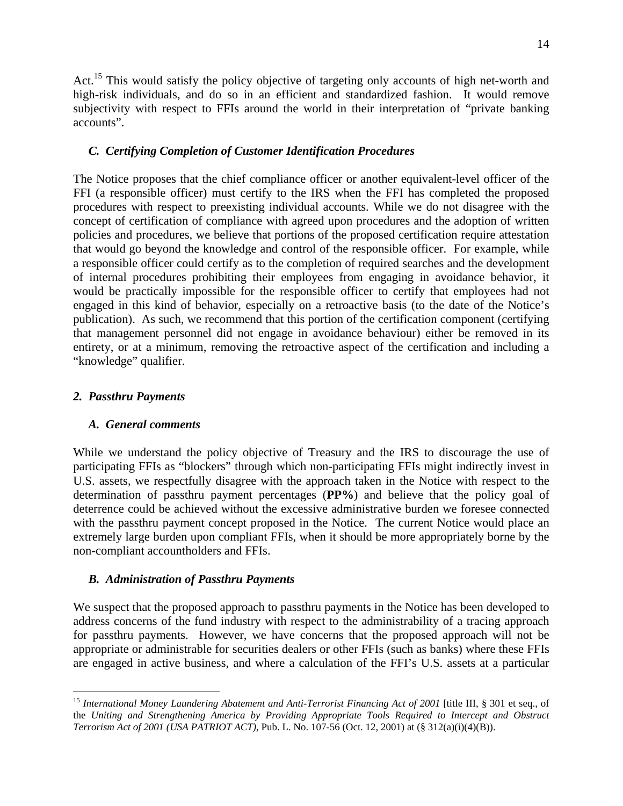Act.<sup>15</sup> This would satisfy the policy objective of targeting only accounts of high net-worth and high-risk individuals, and do so in an efficient and standardized fashion. It would remove subjectivity with respect to FFIs around the world in their interpretation of "private banking accounts".

## *C. Certifying Completion of Customer Identification Procedures*

The Notice proposes that the chief compliance officer or another equivalent-level officer of the FFI (a responsible officer) must certify to the IRS when the FFI has completed the proposed procedures with respect to preexisting individual accounts. While we do not disagree with the concept of certification of compliance with agreed upon procedures and the adoption of written policies and procedures, we believe that portions of the proposed certification require attestation that would go beyond the knowledge and control of the responsible officer. For example, while a responsible officer could certify as to the completion of required searches and the development of internal procedures prohibiting their employees from engaging in avoidance behavior, it would be practically impossible for the responsible officer to certify that employees had not engaged in this kind of behavior, especially on a retroactive basis (to the date of the Notice's publication). As such, we recommend that this portion of the certification component (certifying that management personnel did not engage in avoidance behaviour) either be removed in its entirety, or at a minimum, removing the retroactive aspect of the certification and including a "knowledge" qualifier.

### *2. Passthru Payments*

 $\overline{a}$ 

#### *A. General comments*

While we understand the policy objective of Treasury and the IRS to discourage the use of participating FFIs as "blockers" through which non-participating FFIs might indirectly invest in U.S. assets, we respectfully disagree with the approach taken in the Notice with respect to the determination of passthru payment percentages (**PP%**) and believe that the policy goal of deterrence could be achieved without the excessive administrative burden we foresee connected with the passthru payment concept proposed in the Notice. The current Notice would place an extremely large burden upon compliant FFIs, when it should be more appropriately borne by the non-compliant accountholders and FFIs.

#### *B. Administration of Passthru Payments*

We suspect that the proposed approach to passthru payments in the Notice has been developed to address concerns of the fund industry with respect to the administrability of a tracing approach for passthru payments. However, we have concerns that the proposed approach will not be appropriate or administrable for securities dealers or other FFIs (such as banks) where these FFIs are engaged in active business, and where a calculation of the FFI's U.S. assets at a particular

<sup>15</sup> *International Money Laundering Abatement and Anti-Terrorist Financing Act of 2001* [title III, § 301 et seq., of the *Uniting and Strengthening America by Providing Appropriate Tools Required to Intercept and Obstruct Terrorism Act of 2001 (USA PATRIOT ACT)*, Pub. L. No. 107-56 (Oct. 12, 2001) at (§ 312(a)(i)(4)(B)).